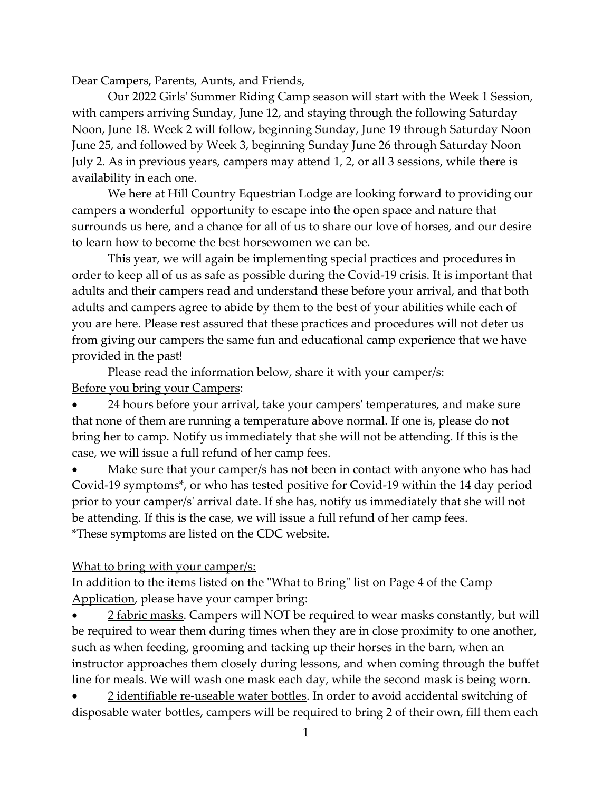Dear Campers, Parents, Aunts, and Friends,

Our 2022 Girls' Summer Riding Camp season will start with the Week 1 Session, with campers arriving Sunday, June 12, and staying through the following Saturday Noon, June 18. Week 2 will follow, beginning Sunday, June 19 through Saturday Noon June 25, and followed by Week 3, beginning Sunday June 26 through Saturday Noon July 2. As in previous years, campers may attend 1, 2, or all 3 sessions, while there is availability in each one.

We here at Hill Country Equestrian Lodge are looking forward to providing our campers a wonderful opportunity to escape into the open space and nature that surrounds us here, and a chance for all of us to share our love of horses, and our desire to learn how to become the best horsewomen we can be.

This year, we will again be implementing special practices and procedures in order to keep all of us as safe as possible during the Covid-19 crisis. It is important that adults and their campers read and understand these before your arrival, and that both adults and campers agree to abide by them to the best of your abilities while each of you are here. Please rest assured that these practices and procedures will not deter us from giving our campers the same fun and educational camp experience that we have provided in the past!

Please read the information below, share it with your camper/s: Before you bring your Campers:

 24 hours before your arrival, take your campers' temperatures, and make sure that none of them are running a temperature above normal. If one is, please do not bring her to camp. Notify us immediately that she will not be attending. If this is the case, we will issue a full refund of her camp fees.

 Make sure that your camper/s has not been in contact with anyone who has had Covid-19 symptoms\*, or who has tested positive for Covid-19 within the 14 day period prior to your camper/s' arrival date. If she has, notify us immediately that she will not be attending. If this is the case, we will issue a full refund of her camp fees. \*These symptoms are listed on the CDC website.

## What to bring with your camper/s:

In addition to the items listed on the "What to Bring" list on Page 4 of the Camp Application, please have your camper bring:

2 fabric masks. Campers will NOT be required to wear masks constantly, but will be required to wear them during times when they are in close proximity to one another, such as when feeding, grooming and tacking up their horses in the barn, when an instructor approaches them closely during lessons, and when coming through the buffet line for meals. We will wash one mask each day, while the second mask is being worn.

2 identifiable re-useable water bottles. In order to avoid accidental switching of disposable water bottles, campers will be required to bring 2 of their own, fill them each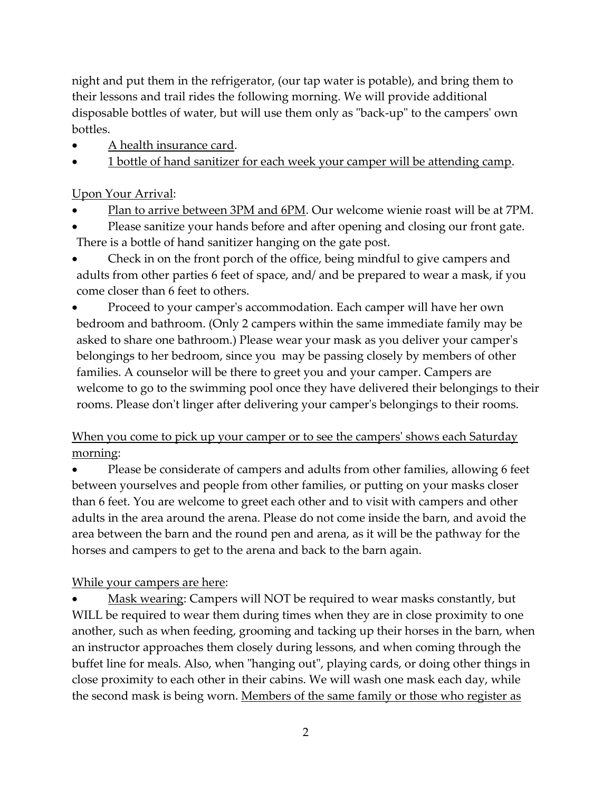night and put them in the refrigerator, (our tap water is potable), and bring them to their lessons and trail rides the following morning. We will provide additional disposable bottles of water, but will use them only as "back-up" to the campers' own bottles.

- A health insurance card.
- 1 bottle of hand sanitizer for each week your camper will be attending camp.

## Upon Your Arrival:

- Plan to arrive between 3PM and 6PM. Our welcome wienie roast will be at 7PM.
- Please sanitize your hands before and after opening and closing our front gate. There is a bottle of hand sanitizer hanging on the gate post.
- Check in on the front porch of the office, being mindful to give campers and adults from other parties 6 feet of space, and/ and be prepared to wear a mask, if you come closer than 6 feet to others.
- Proceed to your camper's accommodation. Each camper will have her own bedroom and bathroom. (Only 2 campers within the same immediate family may be asked to share one bathroom.) Please wear your mask as you deliver your camper's belongings to her bedroom, since you may be passing closely by members of other families. A counselor will be there to greet you and your camper. Campers are welcome to go to the swimming pool once they have delivered their belongings to their rooms. Please don't linger after delivering your camper's belongings to their rooms.

## When you come to pick up your camper or to see the campers' shows each Saturday morning:

 Please be considerate of campers and adults from other families, allowing 6 feet between yourselves and people from other families, or putting on your masks closer than 6 feet. You are welcome to greet each other and to visit with campers and other adults in the area around the arena. Please do not come inside the barn, and avoid the area between the barn and the round pen and arena, as it will be the pathway for the horses and campers to get to the arena and back to the barn again.

## While your campers are here:

 Mask wearing: Campers will NOT be required to wear masks constantly, but WILL be required to wear them during times when they are in close proximity to one another, such as when feeding, grooming and tacking up their horses in the barn, when an instructor approaches them closely during lessons, and when coming through the buffet line for meals. Also, when "hanging out", playing cards, or doing other things in close proximity to each other in their cabins. We will wash one mask each day, while the second mask is being worn. Members of the same family or those who register as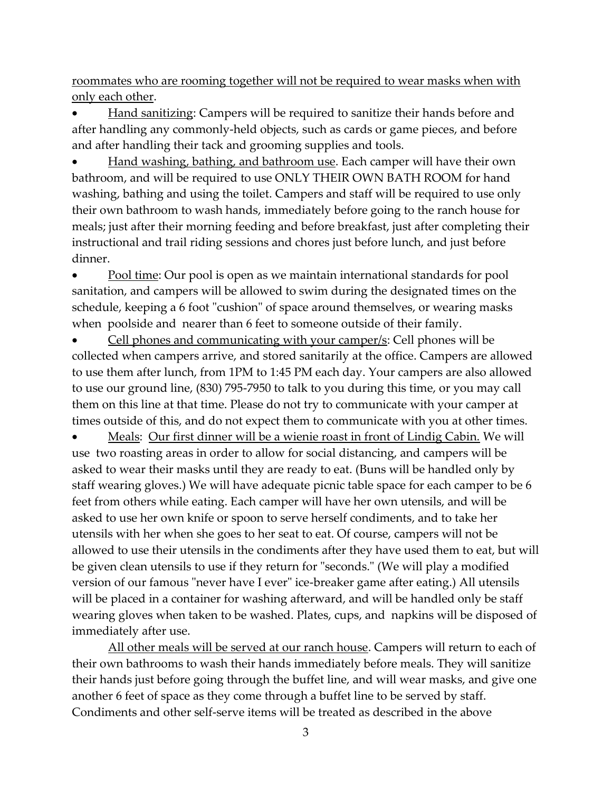roommates who are rooming together will not be required to wear masks when with only each other.

 Hand sanitizing: Campers will be required to sanitize their hands before and after handling any commonly-held objects, such as cards or game pieces, and before and after handling their tack and grooming supplies and tools.

 Hand washing, bathing, and bathroom use. Each camper will have their own bathroom, and will be required to use ONLY THEIR OWN BATH ROOM for hand washing, bathing and using the toilet. Campers and staff will be required to use only their own bathroom to wash hands, immediately before going to the ranch house for meals; just after their morning feeding and before breakfast, just after completing their instructional and trail riding sessions and chores just before lunch, and just before dinner.

 Pool time: Our pool is open as we maintain international standards for pool sanitation, and campers will be allowed to swim during the designated times on the schedule, keeping a 6 foot "cushion" of space around themselves, or wearing masks when poolside and nearer than 6 feet to someone outside of their family.

 Cell phones and communicating with your camper/s: Cell phones will be collected when campers arrive, and stored sanitarily at the office. Campers are allowed to use them after lunch, from 1PM to 1:45 PM each day. Your campers are also allowed to use our ground line, (830) 795-7950 to talk to you during this time, or you may call them on this line at that time. Please do not try to communicate with your camper at times outside of this, and do not expect them to communicate with you at other times.

 Meals: Our first dinner will be a wienie roast in front of Lindig Cabin. We will use two roasting areas in order to allow for social distancing, and campers will be asked to wear their masks until they are ready to eat. (Buns will be handled only by staff wearing gloves.) We will have adequate picnic table space for each camper to be 6 feet from others while eating. Each camper will have her own utensils, and will be asked to use her own knife or spoon to serve herself condiments, and to take her utensils with her when she goes to her seat to eat. Of course, campers will not be allowed to use their utensils in the condiments after they have used them to eat, but will be given clean utensils to use if they return for "seconds." (We will play a modified version of our famous "never have I ever" ice-breaker game after eating.) All utensils will be placed in a container for washing afterward, and will be handled only be staff wearing gloves when taken to be washed. Plates, cups, and napkins will be disposed of immediately after use.

All other meals will be served at our ranch house. Campers will return to each of their own bathrooms to wash their hands immediately before meals. They will sanitize their hands just before going through the buffet line, and will wear masks, and give one another 6 feet of space as they come through a buffet line to be served by staff. Condiments and other self-serve items will be treated as described in the above

3